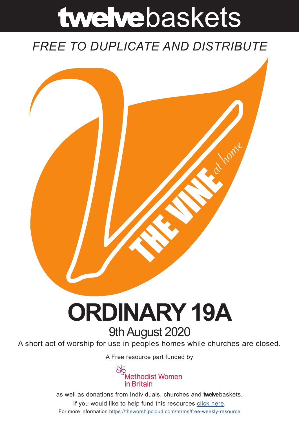# twelvebaskets

### *FREE TO DUPLICATE AND DISTRIBUTE*



## **ORDINARY 19A** 9th August 2020

A short act of worship for use in peoples homes while churches are closed.

A [Free resource part funded](https://mwib.org.uk) by



as well as donations from Individuals, churches and **twelve**baskets. If you would like to help fund this resources [click here]( https://theworshipcloud.com/tags/donation). For more information<https://theworshipcloud.com/terms/free-weekly-resource>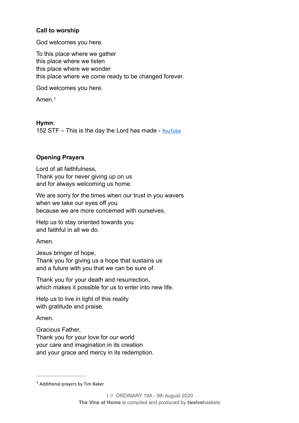#### **Call to worship**

God welcomes you here.

To this place where we gather this place where we listen this place where we wonder this place where we come ready to be changed forever.

God welcomes you here.

<span id="page-1-1"></span>Amen<sup>[1](#page-1-0)</sup>

#### **Hymn:**

152 STF  $-$  This is the day the Lord has made - [YouTube](https://www.youtube.com/watch?v=GuVZOzUx0No)

#### **Opening Prayers**

Lord of all faithfulness, Thank you for never giving up on us and for always welcoming us home.

We are sorry for the times when our trust in you wavers when we take our eyes off you because we are more concerned with ourselves.

Help us to stay oriented towards you and faithful in all we do.

Amen.

Jesus bringer of hope, Thank you for giving us a hope that sustains us and a future with you that we can be sure of.

Thank you for your death and resurrection, which makes it possible for us to enter into new life.

Help us to live in light of this reality with gratitude and praise.

Amen.

Gracious Father, Thank you for your love for our world your care and imagination in its creation and your grace and mercy in its redemption.

<span id="page-1-0"></span> $1$  Additional prayers by Tim Baker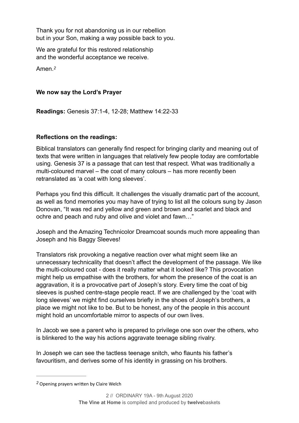Thank you for not abandoning us in our rebellion but in your Son, making a way possible back to you.

We are grateful for this restored relationship and the wonderful acceptance we receive.

<span id="page-2-1"></span>Amen.*[2](#page-2-0)*

#### **We now say the Lord's Prayer**

**Readings:** Genesis 37:1-4, 12-28; Matthew 14:22-33

#### **Reflections on the readings:**

Biblical translators can generally find respect for bringing clarity and meaning out of texts that were written in languages that relatively few people today are comfortable using. Genesis 37 is a passage that can test that respect. What was traditionally a multi-coloured marvel – the coat of many colours – has more recently been retranslated as 'a coat with long sleeves'.

Perhaps you find this difficult. It challenges the visually dramatic part of the account, as well as fond memories you may have of trying to list all the colours sung by Jason Donovan, "It was red and yellow and green and brown and scarlet and black and ochre and peach and ruby and olive and violet and fawn…"

Joseph and the Amazing Technicolor Dreamcoat sounds much more appealing than Joseph and his Baggy Sleeves!

Translators risk provoking a negative reaction over what might seem like an unnecessary technicality that doesn't affect the development of the passage. We like the multi-coloured coat - does it really matter what it looked like? This provocation might help us empathise with the brothers, for whom the presence of the coat is an aggravation, it is a provocative part of Joseph's story. Every time the coat of big sleeves is pushed centre-stage people react. If we are challenged by the 'coat with long sleeves' we might find ourselves briefly in the shoes of Joseph's brothers, a place we might not like to be. But to be honest, any of the people in this account might hold an uncomfortable mirror to aspects of our own lives.

In Jacob we see a parent who is prepared to privilege one son over the others, who is blinkered to the way his actions aggravate teenage sibling rivalry.

In Joseph we can see the tactless teenage snitch, who flaunts his father's favouritism, and derives some of his identity in grassing on his brothers.

<span id="page-2-0"></span><sup>&</sup>lt;sup>[2](#page-2-1)</sup> Opening prayers written by Claire Welch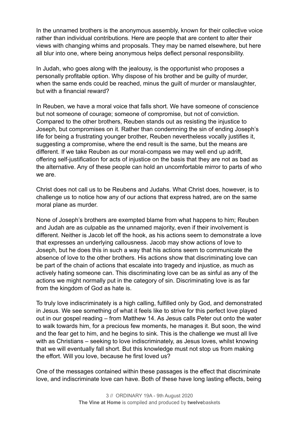In the unnamed brothers is the anonymous assembly, known for their collective voice rather than individual contributions. Here are people that are content to alter their views with changing whims and proposals. They may be named elsewhere, but here all blur into one, where being anonymous helps deflect personal responsibility.

In Judah, who goes along with the jealousy, is the opportunist who proposes a personally profitable option. Why dispose of his brother and be guilty of murder, when the same ends could be reached, minus the guilt of murder or manslaughter, but with a financial reward?

In Reuben, we have a moral voice that falls short. We have someone of conscience but not someone of courage; someone of compromise, but not of conviction. Compared to the other brothers, Reuben stands out as resisting the injustice to Joseph, but compromises on it. Rather than condemning the sin of ending Joseph's life for being a frustrating younger brother, Reuben nevertheless vocally justifies it, suggesting a compromise, where the end result is the same, but the means are different. If we take Reuben as our moral-compass we may well end up adrift, offering self-justification for acts of injustice on the basis that they are not as bad as the alternative. Any of these people can hold an uncomfortable mirror to parts of who we are.

Christ does not call us to be Reubens and Judahs. What Christ does, however, is to challenge us to notice how any of our actions that express hatred, are on the same moral plane as murder.

None of Joseph's brothers are exempted blame from what happens to him; Reuben and Judah are as culpable as the unnamed majority, even if their involvement is different. Neither is Jacob let off the hook, as his actions seem to demonstrate a love that expresses an underlying callousness. Jacob may show actions of love to Joseph, but he does this in such a way that his actions seem to communicate the absence of love to the other brothers. His actions show that discriminating love can be part of the chain of actions that escalate into tragedy and injustice, as much as actively hating someone can. This discriminating love can be as sinful as any of the actions we might normally put in the category of sin. Discriminating love is as far from the kingdom of God as hate is.

To truly love indiscriminately is a high calling, fulfilled only by God, and demonstrated in Jesus. We see something of what it feels like to strive for this perfect love played out in our gospel reading – from Matthew 14. As Jesus calls Peter out onto the water to walk towards him, for a precious few moments, he manages it. But soon, the wind and the fear get to him, and he begins to sink. This is the challenge we must all live with as Christians – seeking to love indiscriminately, as Jesus loves, whilst knowing that we will eventually fall short. But this knowledge must not stop us from making the effort. Will you love, because he first loved us?

One of the messages contained within these passages is the effect that discriminate love, and indiscriminate love can have. Both of these have long lasting effects, being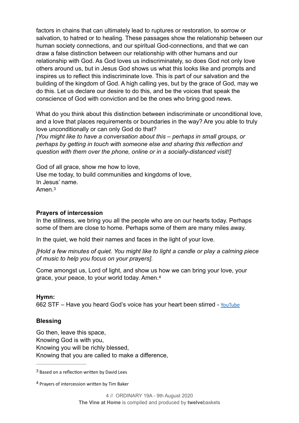factors in chains that can ultimately lead to ruptures or restoration, to sorrow or salvation, to hatred or to healing. These passages show the relationship between our human society connections, and our spiritual God-connections, and that we can draw a false distinction between our relationship with other humans and our relationship with God. As God loves us indiscriminately, so does God not only love others around us, but in Jesus God shows us what this looks like and prompts and inspires us to reflect this indiscriminate love. This is part of our salvation and the building of the kingdom of God. A high calling yes, but by the grace of God, may we do this. Let us declare our desire to do this, and be the voices that speak the conscience of God with conviction and be the ones who bring good news.

What do you think about this distinction between indiscriminate or unconditional love, and a love that places requirements or boundaries in the way? Are you able to truly love unconditionally or can only God do that?

*[You might like to have a conversation about this – perhaps in small groups, or perhaps by getting in touch with someone else and sharing this reflection and question with them over the phone, online or in a socially-distanced visit!]* 

<span id="page-4-2"></span>God of all grace, show me how to love, Use me today, to build communities and kingdoms of love, In Jesus' name. Amen<sup>[3](#page-4-0)</sup>

#### **Prayers of intercession**

In the stillness, we bring you all the people who are on our hearts today. Perhaps some of them are close to home. Perhaps some of them are many miles away.

In the quiet, we hold their names and faces in the light of your love.

*[Hold a few minutes of quiet. You might like to light a candle or play a calming piece of music to help you focus on your prayers].* 

<span id="page-4-3"></span>Come amongst us, Lord of light, and show us how we can bring your love, your grace, your peace, to your world today. Amen.[4](#page-4-1)

#### **Hymn:**

662 STF – Have you heard God's voice has your heart been stirred - [YouTube](https://www.youtube.com/watch?v=sCLvz-LHyeQ)

#### **Blessing**

Go then, leave this space, Knowing God is with you, Knowing you will be richly blessed, Knowing that you are called to make a difference,

<span id="page-4-0"></span> $3$  Based on a reflection written by David Lees

<span id="page-4-1"></span><sup>&</sup>lt;sup>[4](#page-4-3)</sup> Prayers of intercession written by Tim Baker